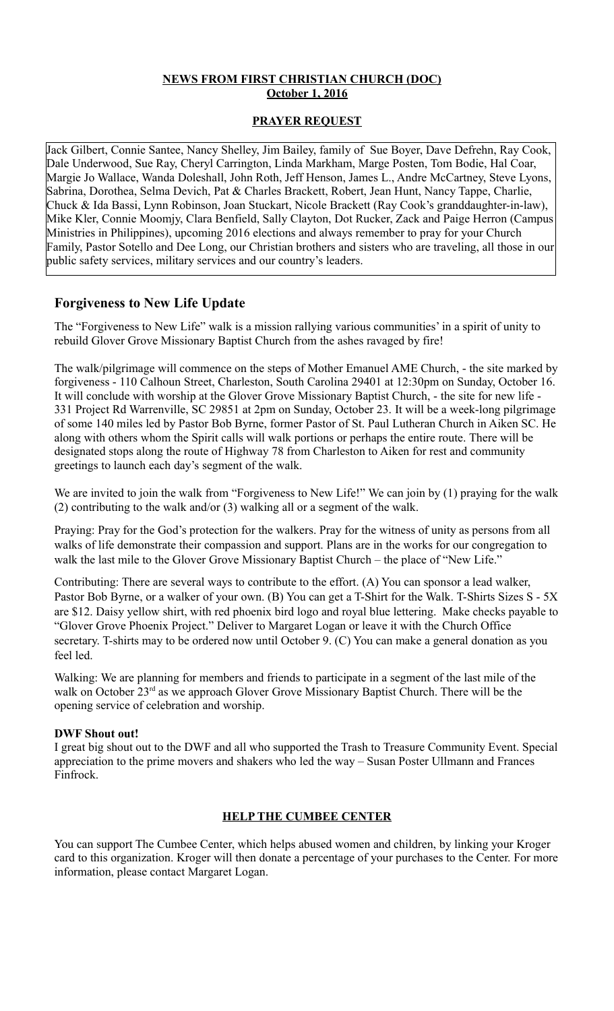## **NEWS FROM FIRST CHRISTIAN CHURCH (DOC) October 1, 2016**

## **PRAYER REQUEST**

Jack Gilbert, Connie Santee, Nancy Shelley, Jim Bailey, family of Sue Boyer, Dave Defrehn, Ray Cook, Dale Underwood, Sue Ray, Cheryl Carrington, Linda Markham, Marge Posten, Tom Bodie, Hal Coar, Margie Jo Wallace, Wanda Doleshall, John Roth, Jeff Henson, James L., Andre McCartney, Steve Lyons, Sabrina, Dorothea, Selma Devich, Pat & Charles Brackett, Robert, Jean Hunt, Nancy Tappe, Charlie, Chuck & Ida Bassi, Lynn Robinson, Joan Stuckart, Nicole Brackett (Ray Cook's granddaughter-in-law), Mike Kler, Connie Moomjy, Clara Benfield, Sally Clayton, Dot Rucker, Zack and Paige Herron (Campus Ministries in Philippines), upcoming 2016 elections and always remember to pray for your Church Family, Pastor Sotello and Dee Long, our Christian brothers and sisters who are traveling, all those in our public safety services, military services and our country's leaders.

## **Forgiveness to New Life Update**

The "Forgiveness to New Life" walk is a mission rallying various communities' in a spirit of unity to rebuild Glover Grove Missionary Baptist Church from the ashes ravaged by fire!

The walk/pilgrimage will commence on the steps of Mother Emanuel AME Church, - the site marked by forgiveness - 110 Calhoun Street, Charleston, South Carolina 29401 at 12:30pm on Sunday, October 16. It will conclude with worship at the Glover Grove Missionary Baptist Church, - the site for new life - 331 Project Rd Warrenville, SC 29851 at 2pm on Sunday, October 23. It will be a week-long pilgrimage of some 140 miles led by Pastor Bob Byrne, former Pastor of St. Paul Lutheran Church in Aiken SC. He along with others whom the Spirit calls will walk portions or perhaps the entire route. There will be designated stops along the route of Highway 78 from Charleston to Aiken for rest and community greetings to launch each day's segment of the walk.

We are invited to join the walk from "Forgiveness to New Life!" We can join by (1) praying for the walk (2) contributing to the walk and/or (3) walking all or a segment of the walk.

Praying: Pray for the God's protection for the walkers. Pray for the witness of unity as persons from all walks of life demonstrate their compassion and support. Plans are in the works for our congregation to walk the last mile to the Glover Grove Missionary Baptist Church – the place of "New Life."

Contributing: There are several ways to contribute to the effort. (A) You can sponsor a lead walker, Pastor Bob Byrne, or a walker of your own. (B) You can get a T-Shirt for the Walk. T-Shirts Sizes S - 5X are \$12. Daisy yellow shirt, with red phoenix bird logo and royal blue lettering. Make checks payable to "Glover Grove Phoenix Project." Deliver to Margaret Logan or leave it with the Church Office secretary. T-shirts may to be ordered now until October 9. (C) You can make a general donation as you feel led.

Walking: We are planning for members and friends to participate in a segment of the last mile of the walk on October 23rd as we approach Glover Grove Missionary Baptist Church. There will be the opening service of celebration and worship.

### **DWF Shout out!**

I great big shout out to the DWF and all who supported the Trash to Treasure Community Event. Special appreciation to the prime movers and shakers who led the way – Susan Poster Ullmann and Frances Finfrock.

## **HELP THE CUMBEE CENTER**

You can support The Cumbee Center, which helps abused women and children, by linking your Kroger card to this organization. Kroger will then donate a percentage of your purchases to the Center. For more information, please contact Margaret Logan.